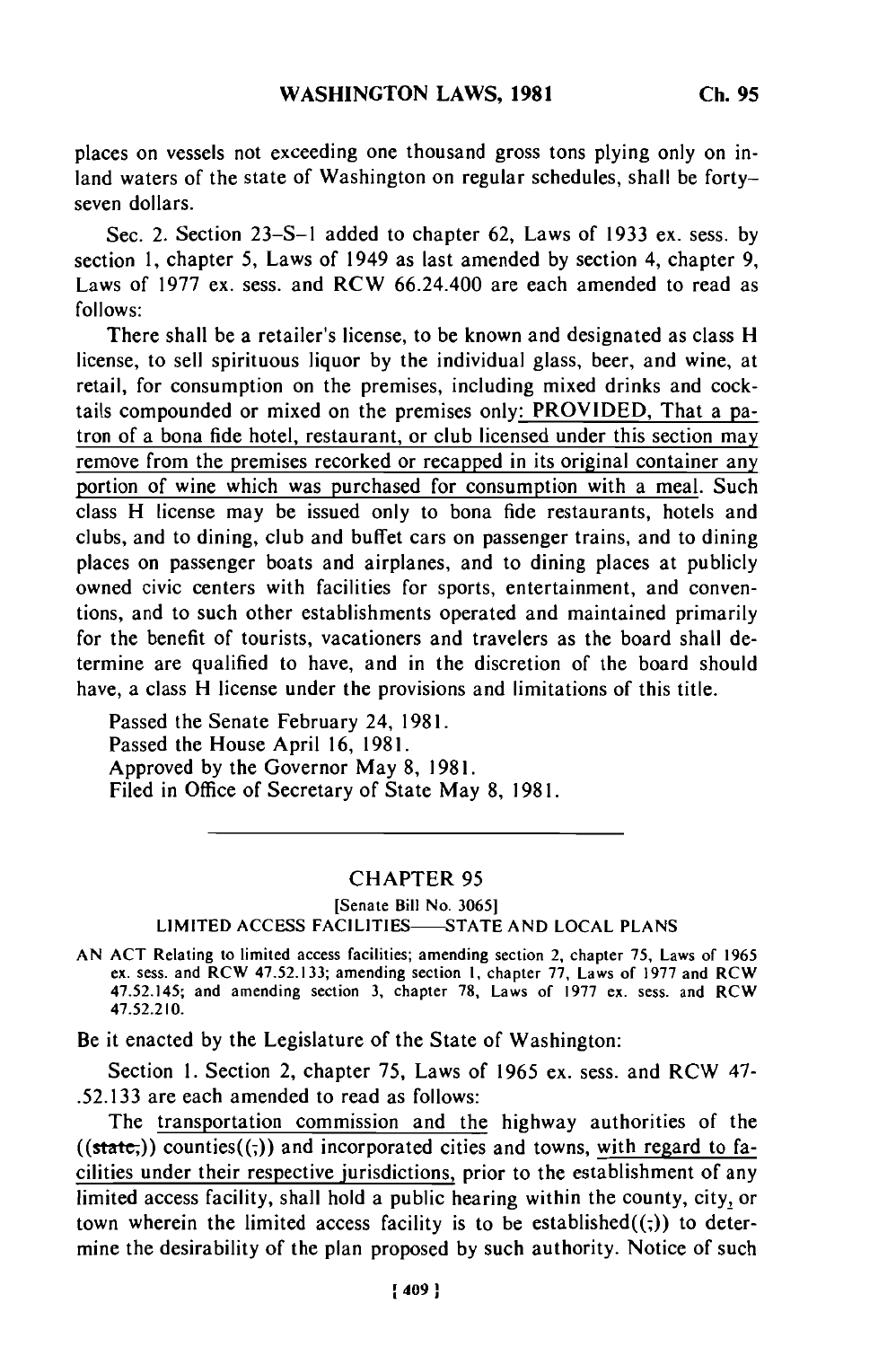places on vessels not exceeding one thousand gross tons plying only on inland waters of the state of Washington on regular schedules, shall be fortyseven dollars.

Sec. 2. Section 23-S-1 added to chapter 62, Laws of 1933 ex. sess. by section 1, chapter 5, Laws of 1949 as last amended by section 4, chapter 9, Laws of 1977 ex. sess. and RCW 66.24.400 are each amended to read as follows:

There shall be a retailer's license, to be known and designated as class H license, to sell spirituous liquor by the individual glass, beer, and wine, at retail, for consumption on the premises, including mixed drinks and cocktails compounded or mixed on the premises only: PROVIDED, That a patron of a bona fide hotel, restaurant, or club licensed under this section may remove from the premises recorked or recapped in its original container any portion of wine which was purchased for consumption with a meal. Such class H license may be issued only to bona fide restaurants, hotels and clubs, and to dining, club and buffet cars on passenger trains, and to dining places on passenger boats and airplanes, and to dining places at publicly owned civic centers with facilities for sports, entertainment, and conventions, and to such other establishments operated and maintained primarily for the benefit of tourists, vacationers and travelers as the board shall determine are qualified to have, and in the discretion of the board should have, a class H license under the provisions and limitations of this title.

Passed the Senate February 24, 1981. Passed the House April 16, 1981. Approved by the Governor May 8, 1981. Filed in Office of Secretary of State May 8, 1981.

## CHAPTER 95

### [Senate Bill No. 3065] LIMITED ACCESS FACILITIES-STATE AND LOCAL PLANS

AN ACT Relating to limited access facilities; amending section 2, chapter 75, Laws of 1965 ex. sess. and RCW 47.52.133; amending section I, chapter 77, Laws of 1977 and RCW 47.52.145; and amending section 3, chapter 78, Laws of 1977 ex. sess. and RCW 47.52.210.

Be it enacted by the Legislature of the State of Washington:

Section 1. Section 2, chapter 75, Laws of 1965 ex. sess. and RCW 47- .52.133 are each amended to read as follows:

The transportation commission and the highway authorities of the  $((state))$  counties $((.)$  and incorporated cities and towns, with regard to facilities under their respective jurisdictions, prior to the establishment of any limited access facility, shall hold a public hearing within the county, city, or town wherein the limited access facility is to be established $((,))$  to determine the desirability of the plan proposed by such authority. Notice of such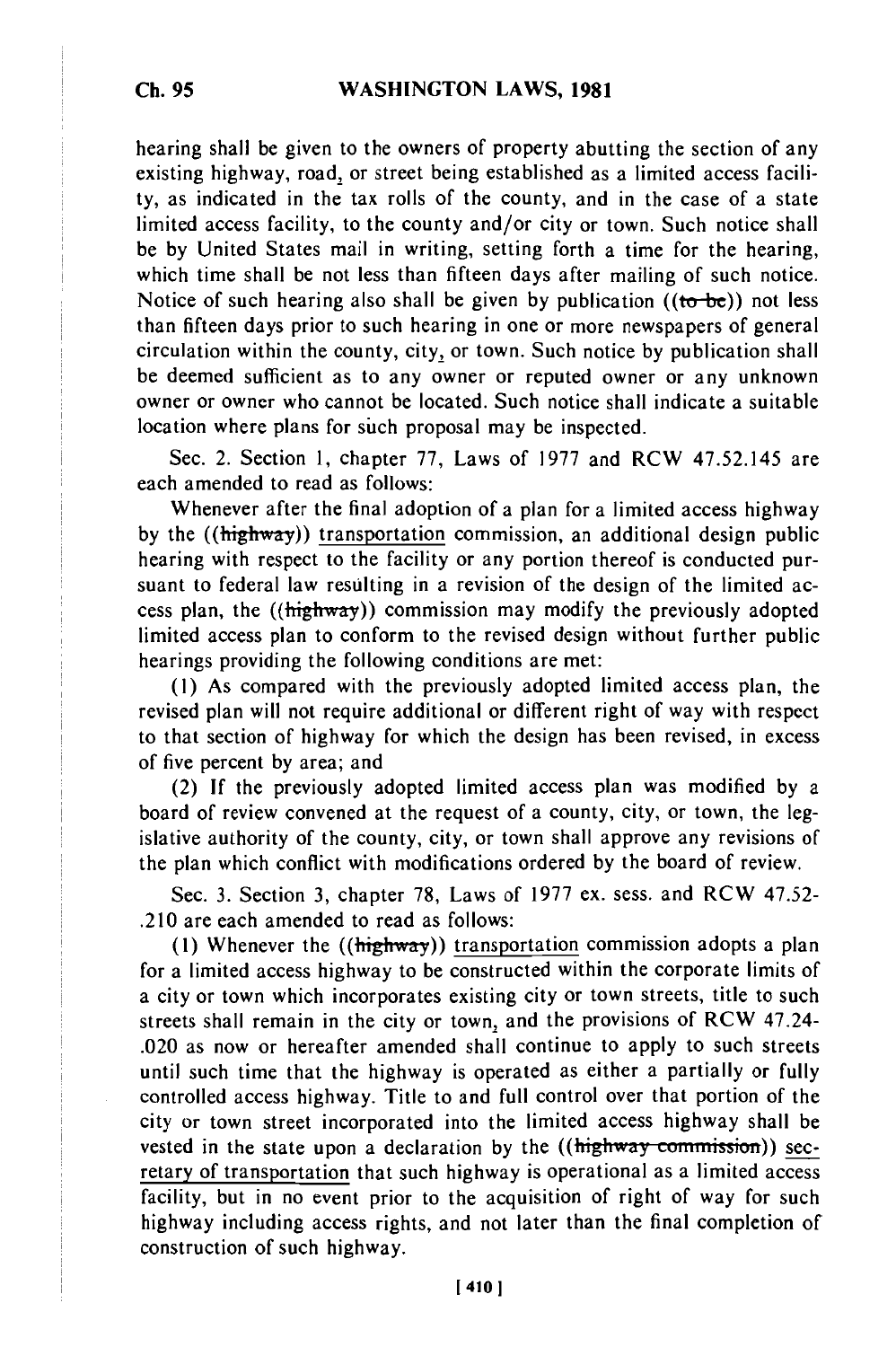### **WASHINGTON LAWS, 1981**

hearing shall be given to the owners of property abutting the section of any existing highway, road, or street being established as a limited access facility, as indicated in the tax rolls of the county, and in the case of a state limited access facility, to the county and/or city or town. Such notice shall be by United States mail in writing, setting forth a time for the hearing, which time shall be not less than fifteen days after mailing of such notice. Notice of such hearing also shall be given by publication  $((to -be))$  not less than fifteen days prior to such hearing in one or more newspapers of general circulation within the county, city, or town. Such notice by publication shall be deemed sufficient as to any owner or reputed owner or any unknown owner or owner who cannot be located. Such notice shall indicate a suitable location where plans for such proposal may be inspected.

Sec. 2. Section 1, chapter 77, Laws of 1977 and RCW 47.52.145 are each amended to read as follows:

Whenever after the final adoption of a plan for a limited access highway by the ((highway)) transportation commission, an additional design public hearing with respect to the facility or any portion thereof is conducted pursuant to federal law resulting in a revision of the design of the limited access plan, the ((highway)) commission may modify the previously adopted limited access plan to conform to the revised design without further public hearings providing the following conditions are met:

(1) As compared with the previously adopted limited access plan, the revised plan will not require additional or different right of way with respect to that section of highway for which the design has been revised, in excess of five percent by area; and

(2) If the previously adopted limited access plan was modified by a board of review convened at the request of a county, city, or town, the legislative authority of the county, city, or town shall approve any revisions of the plan which conflict with modifications ordered by the board of review.

Sec. 3. Section 3, chapter 78, Laws of 1977 ex. sess. and RCW 47.52- .210 are each amended to read as follows:

**(1)** Whenever the ((highway)) transportation commission adopts a plan for a limited access highway to be constructed within the corporate limits of a city or town which incorporates existing city or town streets, title to such streets shall remain in the city or town, and the provisions of RCW 47.24- .020 as now or hereafter amended shall continue to apply to such streets until such time that the highway is operated as either a partially or fully controlled access highway. Title to and full control over that portion of the city or town street incorporated into the limited access highway shall be vested in the state upon a declaration by the  $((\frac{highway}{\text{commission}}))$  secretary of transportation that such highway is operational as a limited access facility, but in no event prior to the acquisition of right of way for such highway including access rights, and not later than the final completion of construction of such highway.